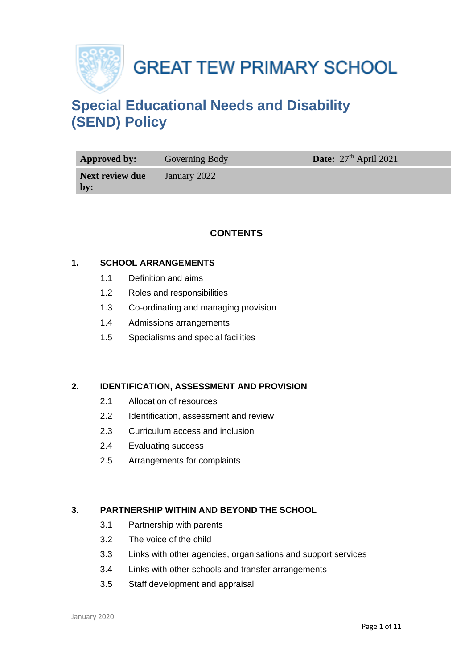

**GREAT TEW PRIMARY SCHOOL** 

# **Special Educational Needs and Disability (SEND) Policy**

| Approved by:                   | Governing Body | Date: $27th$ April 2021 |
|--------------------------------|----------------|-------------------------|
| <b>Next review due</b><br>$bv$ | January 2022   |                         |

# **CONTENTS**

#### **1. SCHOOL ARRANGEMENTS**

- 1.1 Definition and aims
- 1.2 Roles and responsibilities
- 1.3 Co-ordinating and managing provision
- 1.4 Admissions arrangements
- 1.5 Specialisms and special facilities

#### **2. IDENTIFICATION, ASSESSMENT AND PROVISION**

- 2.1 Allocation of resources
- 2.2 Identification, assessment and review
- 2.3 Curriculum access and inclusion
- 2.4 Evaluating success
- 2.5 Arrangements for complaints

### **3. PARTNERSHIP WITHIN AND BEYOND THE SCHOOL**

- 3.1 Partnership with parents
- 3.2 The voice of the child
- 3.3 Links with other agencies, organisations and support services
- 3.4 Links with other schools and transfer arrangements
- 3.5 Staff development and appraisal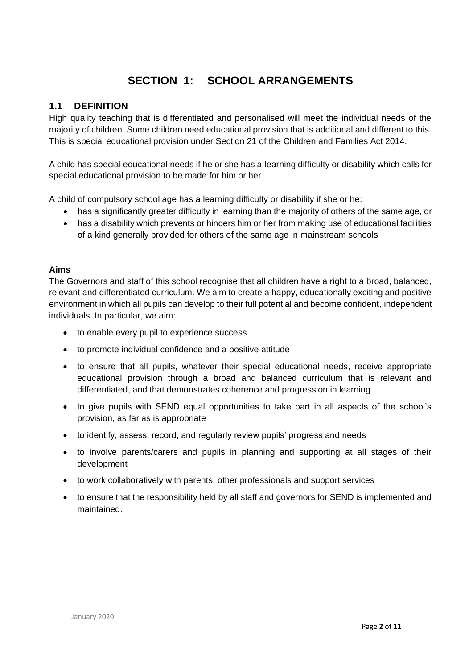# **SECTION 1: SCHOOL ARRANGEMENTS**

### **1.1 DEFINITION**

High quality teaching that is differentiated and personalised will meet the individual needs of the majority of children. Some children need educational provision that is additional and different to this. This is special educational provision under Section 21 of the Children and Families Act 2014.

A child has special educational needs if he or she has a learning difficulty or disability which calls for special educational provision to be made for him or her.

A child of compulsory school age has a learning difficulty or disability if she or he:

- has a significantly greater difficulty in learning than the majority of others of the same age, or
- has a disability which prevents or hinders him or her from making use of educational facilities of a kind generally provided for others of the same age in mainstream schools

#### **Aims**

The Governors and staff of this school recognise that all children have a right to a broad, balanced, relevant and differentiated curriculum. We aim to create a happy, educationally exciting and positive environment in which all pupils can develop to their full potential and become confident, independent individuals. In particular, we aim:

- to enable every pupil to experience success
- to promote individual confidence and a positive attitude
- to ensure that all pupils, whatever their special educational needs, receive appropriate educational provision through a broad and balanced curriculum that is relevant and differentiated, and that demonstrates coherence and progression in learning
- to give pupils with SEND equal opportunities to take part in all aspects of the school's provision, as far as is appropriate
- to identify, assess, record, and regularly review pupils' progress and needs
- to involve parents/carers and pupils in planning and supporting at all stages of their development
- to work collaboratively with parents, other professionals and support services
- to ensure that the responsibility held by all staff and governors for SEND is implemented and maintained.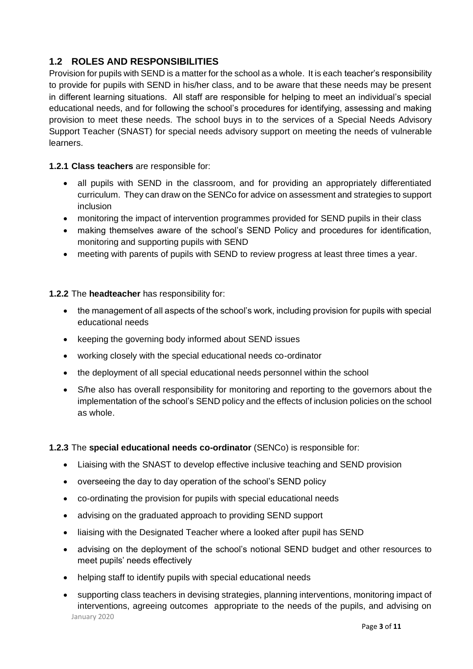# **1.2 ROLES AND RESPONSIBILITIES**

Provision for pupils with SEND is a matter for the school as a whole. It is each teacher's responsibility to provide for pupils with SEND in his/her class, and to be aware that these needs may be present in different learning situations. All staff are responsible for helping to meet an individual's special educational needs, and for following the school's procedures for identifying, assessing and making provision to meet these needs. The school buys in to the services of a Special Needs Advisory Support Teacher (SNAST) for special needs advisory support on meeting the needs of vulnerable learners.

#### **1.2.1 Class teachers** are responsible for:

- all pupils with SEND in the classroom, and for providing an appropriately differentiated curriculum. They can draw on the SENCo for advice on assessment and strategies to support inclusion
- monitoring the impact of intervention programmes provided for SEND pupils in their class
- making themselves aware of the school's SEND Policy and procedures for identification, monitoring and supporting pupils with SEND
- meeting with parents of pupils with SEND to review progress at least three times a year.

#### **1.2.2** The **headteacher** has responsibility for:

- the management of all aspects of the school's work, including provision for pupils with special educational needs
- keeping the governing body informed about SEND issues
- working closely with the special educational needs co-ordinator
- the deployment of all special educational needs personnel within the school
- S/he also has overall responsibility for monitoring and reporting to the governors about the implementation of the school's SEND policy and the effects of inclusion policies on the school as whole.

#### **1.2.3** The **special educational needs co-ordinator** (SENCo) is responsible for:

- Liaising with the SNAST to develop effective inclusive teaching and SEND provision
- overseeing the day to day operation of the school's SEND policy
- co-ordinating the provision for pupils with special educational needs
- advising on the graduated approach to providing SEND support
- liaising with the Designated Teacher where a looked after pupil has SEND
- advising on the deployment of the school's notional SEND budget and other resources to meet pupils' needs effectively
- helping staff to identify pupils with special educational needs
- January 2020 • supporting class teachers in devising strategies, planning interventions, monitoring impact of interventions, agreeing outcomes appropriate to the needs of the pupils, and advising on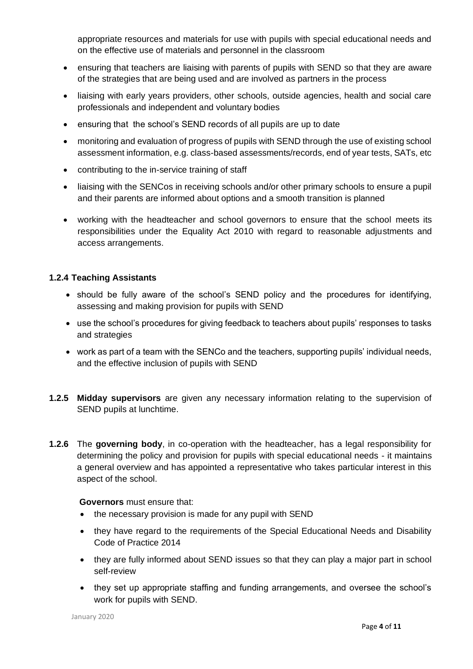appropriate resources and materials for use with pupils with special educational needs and on the effective use of materials and personnel in the classroom

- ensuring that teachers are liaising with parents of pupils with SEND so that they are aware of the strategies that are being used and are involved as partners in the process
- liaising with early years providers, other schools, outside agencies, health and social care professionals and independent and voluntary bodies
- ensuring that the school's SEND records of all pupils are up to date
- monitoring and evaluation of progress of pupils with SEND through the use of existing school assessment information, e.g. class-based assessments/records, end of year tests, SATs, etc
- contributing to the in-service training of staff
- liaising with the SENCos in receiving schools and/or other primary schools to ensure a pupil and their parents are informed about options and a smooth transition is planned
- working with the headteacher and school governors to ensure that the school meets its responsibilities under the Equality Act 2010 with regard to reasonable adjustments and access arrangements.

#### **1.2.4 Teaching Assistants**

- should be fully aware of the school's SEND policy and the procedures for identifying, assessing and making provision for pupils with SEND
- use the school's procedures for giving feedback to teachers about pupils' responses to tasks and strategies
- work as part of a team with the SENCo and the teachers, supporting pupils' individual needs, and the effective inclusion of pupils with SEND
- **1.2.5 Midday supervisors** are given any necessary information relating to the supervision of SEND pupils at lunchtime.
- **1.2.6** The **governing body**, in co-operation with the headteacher, has a legal responsibility for determining the policy and provision for pupils with special educational needs - it maintains a general overview and has appointed a representative who takes particular interest in this aspect of the school.

#### **Governors** must ensure that:

- the necessary provision is made for any pupil with SEND
- they have regard to the requirements of the Special Educational Needs and Disability Code of Practice 2014
- they are fully informed about SEND issues so that they can play a major part in school self-review
- they set up appropriate staffing and funding arrangements, and oversee the school's work for pupils with SEND.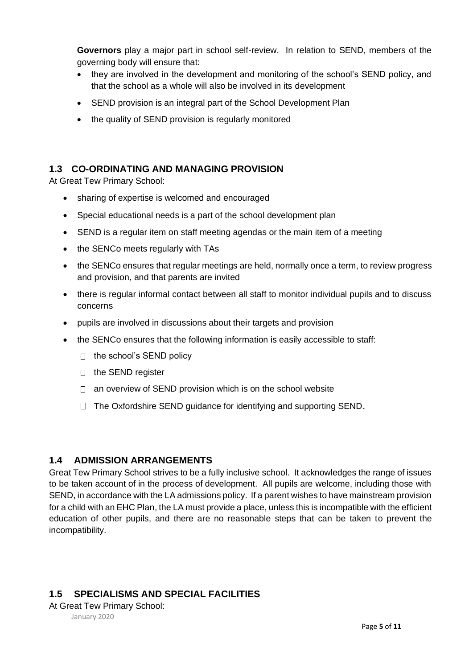**Governors** play a major part in school self-review. In relation to SEND, members of the governing body will ensure that:

- they are involved in the development and monitoring of the school's SEND policy, and that the school as a whole will also be involved in its development
- SEND provision is an integral part of the School Development Plan
- the quality of SEND provision is regularly monitored

# **1.3 CO-ORDINATING AND MANAGING PROVISION**

At Great Tew Primary School:

- sharing of expertise is welcomed and encouraged
- Special educational needs is a part of the school development plan
- SEND is a regular item on staff meeting agendas or the main item of a meeting
- the SENCo meets regularly with TAs
- the SENCo ensures that regular meetings are held, normally once a term, to review progress and provision, and that parents are invited
- there is regular informal contact between all staff to monitor individual pupils and to discuss concerns
- pupils are involved in discussions about their targets and provision
- the SENCo ensures that the following information is easily accessible to staff:
	- $\Box$  the school's SEND policy
	- $\Box$  the SEND register
	- $\Box$  an overview of SEND provision which is on the school website
	- $\Box$  The Oxfordshire SEND guidance for identifying and supporting SEND.

#### **1.4 ADMISSION ARRANGEMENTS**

Great Tew Primary School strives to be a fully inclusive school. It acknowledges the range of issues to be taken account of in the process of development. All pupils are welcome, including those with SEND, in accordance with the LA admissions policy. If a parent wishes to have mainstream provision for a child with an EHC Plan, the LA must provide a place, unless this is incompatible with the efficient education of other pupils, and there are no reasonable steps that can be taken to prevent the incompatibility.

# **1.5 SPECIALISMS AND SPECIAL FACILITIES**

At Great Tew Primary School:

January 2020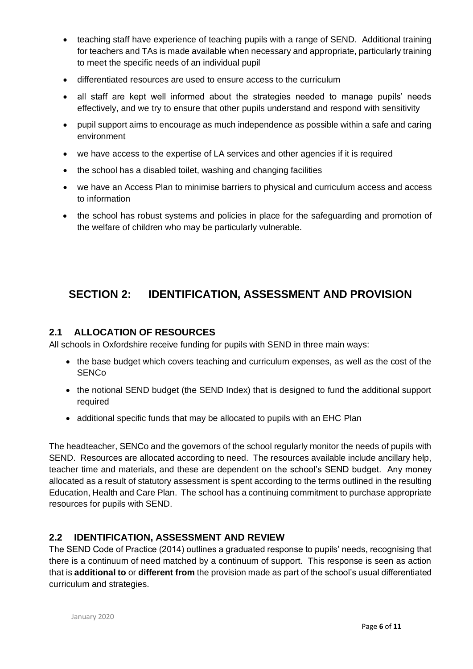- teaching staff have experience of teaching pupils with a range of SEND. Additional training for teachers and TAs is made available when necessary and appropriate, particularly training to meet the specific needs of an individual pupil
- differentiated resources are used to ensure access to the curriculum
- all staff are kept well informed about the strategies needed to manage pupils' needs effectively, and we try to ensure that other pupils understand and respond with sensitivity
- pupil support aims to encourage as much independence as possible within a safe and caring environment
- we have access to the expertise of LA services and other agencies if it is required
- the school has a disabled toilet, washing and changing facilities
- we have an Access Plan to minimise barriers to physical and curriculum access and access to information
- the school has robust systems and policies in place for the safeguarding and promotion of the welfare of children who may be particularly vulnerable.

# **SECTION 2: IDENTIFICATION, ASSESSMENT AND PROVISION**

# **2.1 ALLOCATION OF RESOURCES**

All schools in Oxfordshire receive funding for pupils with SEND in three main ways:

- the base budget which covers teaching and curriculum expenses, as well as the cost of the SENCo
- the notional SEND budget (the SEND Index) that is designed to fund the additional support required
- additional specific funds that may be allocated to pupils with an EHC Plan

The headteacher, SENCo and the governors of the school regularly monitor the needs of pupils with SEND. Resources are allocated according to need. The resources available include ancillary help, teacher time and materials, and these are dependent on the school's SEND budget. Any money allocated as a result of statutory assessment is spent according to the terms outlined in the resulting Education, Health and Care Plan. The school has a continuing commitment to purchase appropriate resources for pupils with SEND.

# **2.2 IDENTIFICATION, ASSESSMENT AND REVIEW**

The SEND Code of Practice (2014) outlines a graduated response to pupils' needs, recognising that there is a continuum of need matched by a continuum of support. This response is seen as action that is **additional to** or **different from** the provision made as part of the school's usual differentiated curriculum and strategies.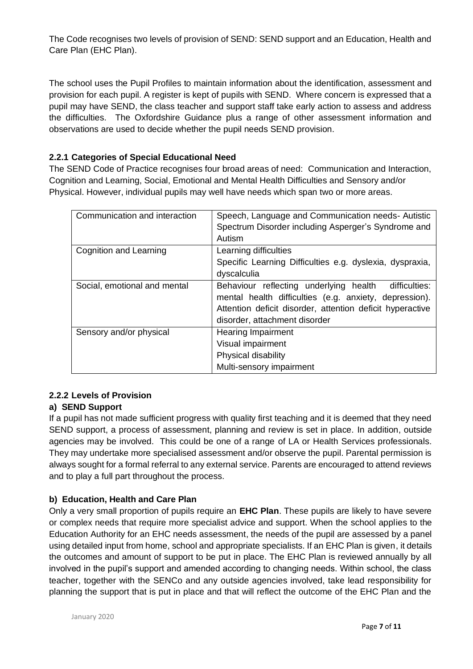The Code recognises two levels of provision of SEND: SEND support and an Education, Health and Care Plan (EHC Plan).

The school uses the Pupil Profiles to maintain information about the identification, assessment and provision for each pupil. A register is kept of pupils with SEND. Where concern is expressed that a pupil may have SEND, the class teacher and support staff take early action to assess and address the difficulties. The Oxfordshire Guidance plus a range of other assessment information and observations are used to decide whether the pupil needs SEND provision.

#### **2.2.1 Categories of Special Educational Need**

The SEND Code of Practice recognises four broad areas of need: Communication and Interaction, Cognition and Learning, Social, Emotional and Mental Health Difficulties and Sensory and/or Physical. However, individual pupils may well have needs which span two or more areas.

| Communication and interaction | Speech, Language and Communication needs- Autistic<br>Spectrum Disorder including Asperger's Syndrome and<br>Autism |
|-------------------------------|---------------------------------------------------------------------------------------------------------------------|
| Cognition and Learning        | Learning difficulties                                                                                               |
|                               | Specific Learning Difficulties e.g. dyslexia, dyspraxia,                                                            |
|                               | dyscalculia                                                                                                         |
| Social, emotional and mental  | Behaviour reflecting underlying health<br>difficulties:                                                             |
|                               | mental health difficulties (e.g. anxiety, depression).                                                              |
|                               | Attention deficit disorder, attention deficit hyperactive                                                           |
|                               | disorder, attachment disorder                                                                                       |
| Sensory and/or physical       | <b>Hearing Impairment</b>                                                                                           |
|                               | Visual impairment                                                                                                   |
|                               | Physical disability                                                                                                 |
|                               | Multi-sensory impairment                                                                                            |

#### **2.2.2 Levels of Provision**

#### **a) SEND Support**

If a pupil has not made sufficient progress with quality first teaching and it is deemed that they need SEND support, a process of assessment, planning and review is set in place. In addition, outside agencies may be involved. This could be one of a range of LA or Health Services professionals. They may undertake more specialised assessment and/or observe the pupil. Parental permission is always sought for a formal referral to any external service. Parents are encouraged to attend reviews and to play a full part throughout the process.

#### **b) Education, Health and Care Plan**

Only a very small proportion of pupils require an **EHC Plan**. These pupils are likely to have severe or complex needs that require more specialist advice and support. When the school applies to the Education Authority for an EHC needs assessment, the needs of the pupil are assessed by a panel using detailed input from home, school and appropriate specialists. If an EHC Plan is given, it details the outcomes and amount of support to be put in place. The EHC Plan is reviewed annually by all involved in the pupil's support and amended according to changing needs. Within school, the class teacher, together with the SENCo and any outside agencies involved, take lead responsibility for planning the support that is put in place and that will reflect the outcome of the EHC Plan and the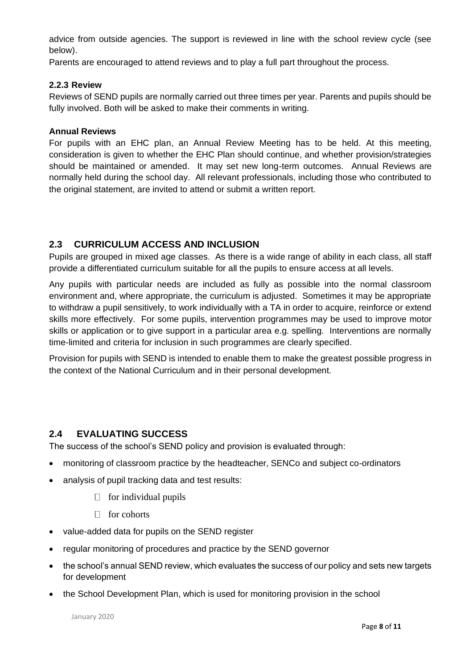advice from outside agencies. The support is reviewed in line with the school review cycle (see below).

Parents are encouraged to attend reviews and to play a full part throughout the process.

#### **2.2.3 Review**

Reviews of SEND pupils are normally carried out three times per year. Parents and pupils should be fully involved. Both will be asked to make their comments in writing.

#### **Annual Reviews**

For pupils with an EHC plan, an Annual Review Meeting has to be held. At this meeting, consideration is given to whether the EHC Plan should continue, and whether provision/strategies should be maintained or amended. It may set new long-term outcomes. Annual Reviews are normally held during the school day. All relevant professionals, including those who contributed to the original statement, are invited to attend or submit a written report.

# **2.3 CURRICULUM ACCESS AND INCLUSION**

Pupils are grouped in mixed age classes. As there is a wide range of ability in each class, all staff provide a differentiated curriculum suitable for all the pupils to ensure access at all levels.

Any pupils with particular needs are included as fully as possible into the normal classroom environment and, where appropriate, the curriculum is adjusted. Sometimes it may be appropriate to withdraw a pupil sensitively, to work individually with a TA in order to acquire, reinforce or extend skills more effectively. For some pupils, intervention programmes may be used to improve motor skills or application or to give support in a particular area e.g. spelling. Interventions are normally time-limited and criteria for inclusion in such programmes are clearly specified.

Provision for pupils with SEND is intended to enable them to make the greatest possible progress in the context of the National Curriculum and in their personal development.

#### **2.4 EVALUATING SUCCESS**

The success of the school's SEND policy and provision is evaluated through:

- monitoring of classroom practice by the headteacher, SENCo and subject co-ordinators
- analysis of pupil tracking data and test results:
	- $\Box$  for individual pupils
	- $\Box$  for cohorts
- value-added data for pupils on the SEND register
- regular monitoring of procedures and practice by the SEND governor
- the school's annual SEND review, which evaluates the success of our policy and sets new targets for development
- the School Development Plan, which is used for monitoring provision in the school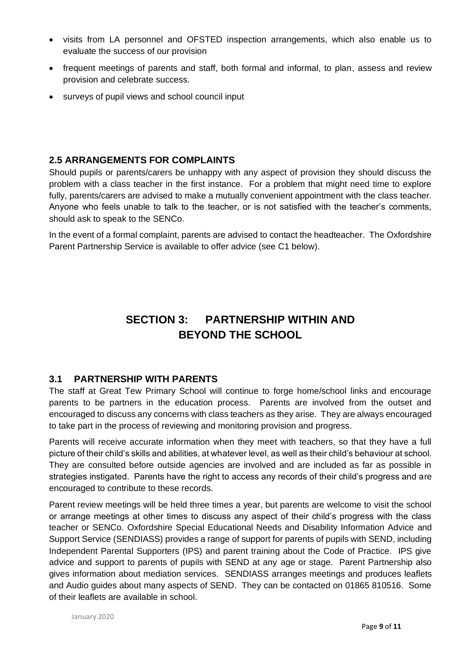- visits from LA personnel and OFSTED inspection arrangements, which also enable us to evaluate the success of our provision
- frequent meetings of parents and staff, both formal and informal, to plan, assess and review provision and celebrate success.
- surveys of pupil views and school council input

### **2.5 ARRANGEMENTS FOR COMPLAINTS**

Should pupils or parents/carers be unhappy with any aspect of provision they should discuss the problem with a class teacher in the first instance. For a problem that might need time to explore fully, parents/carers are advised to make a mutually convenient appointment with the class teacher. Anyone who feels unable to talk to the teacher, or is not satisfied with the teacher's comments, should ask to speak to the SENCo.

In the event of a formal complaint, parents are advised to contact the headteacher. The Oxfordshire Parent Partnership Service is available to offer advice (see C1 below).

# **SECTION 3: PARTNERSHIP WITHIN AND BEYOND THE SCHOOL**

#### **3.1 PARTNERSHIP WITH PARENTS**

The staff at Great Tew Primary School will continue to forge home/school links and encourage parents to be partners in the education process. Parents are involved from the outset and encouraged to discuss any concerns with class teachers as they arise. They are always encouraged to take part in the process of reviewing and monitoring provision and progress.

Parents will receive accurate information when they meet with teachers, so that they have a full picture of their child's skills and abilities, at whatever level, as well as their child's behaviour at school. They are consulted before outside agencies are involved and are included as far as possible in strategies instigated. Parents have the right to access any records of their child's progress and are encouraged to contribute to these records.

Parent review meetings will be held three times a year, but parents are welcome to visit the school or arrange meetings at other times to discuss any aspect of their child's progress with the class teacher or SENCo. Oxfordshire Special Educational Needs and Disability Information Advice and Support Service (SENDIASS) provides a range of support for parents of pupils with SEND, including Independent Parental Supporters (IPS) and parent training about the Code of Practice. IPS give advice and support to parents of pupils with SEND at any age or stage. Parent Partnership also gives information about mediation services. SENDIASS arranges meetings and produces leaflets and Audio guides about many aspects of SEND. They can be contacted on 01865 810516. Some of their leaflets are available in school.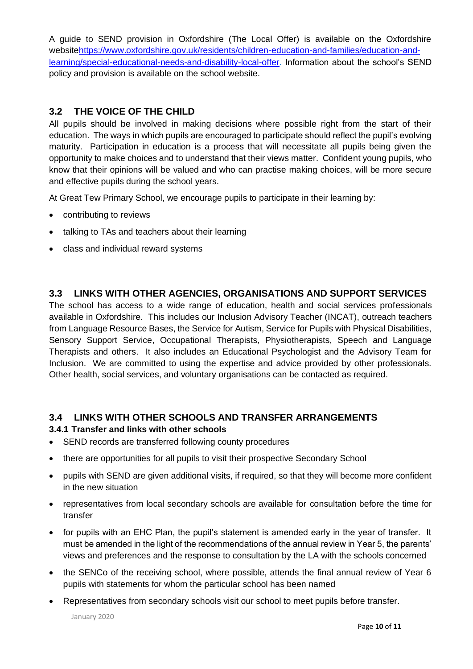A guide to SEND provision in Oxfordshire (The Local Offer) is available on the Oxfordshire websitehttps://www.oxfordshire.gov.uk/residents/children-education-and-families/education-andlearning/special-educational-needs-and-disability-local-offer. Information about the school's SEND policy and provision is available on the school website.

# **3.2 THE VOICE OF THE CHILD**

All pupils should be involved in making decisions where possible right from the start of their education. The ways in which pupils are encouraged to participate should reflect the pupil's evolving maturity. Participation in education is a process that will necessitate all pupils being given the opportunity to make choices and to understand that their views matter. Confident young pupils, who know that their opinions will be valued and who can practise making choices, will be more secure and effective pupils during the school years.

At Great Tew Primary School, we encourage pupils to participate in their learning by:

- contributing to reviews
- talking to TAs and teachers about their learning
- class and individual reward systems

#### **3.3 LINKS WITH OTHER AGENCIES, ORGANISATIONS AND SUPPORT SERVICES**

The school has access to a wide range of education, health and social services professionals available in Oxfordshire. This includes our Inclusion Advisory Teacher (INCAT), outreach teachers from Language Resource Bases, the Service for Autism, Service for Pupils with Physical Disabilities, Sensory Support Service, Occupational Therapists, Physiotherapists, Speech and Language Therapists and others. It also includes an Educational Psychologist and the Advisory Team for Inclusion. We are committed to using the expertise and advice provided by other professionals. Other health, social services, and voluntary organisations can be contacted as required.

#### **3.4 LINKS WITH OTHER SCHOOLS AND TRANSFER ARRANGEMENTS**

#### **3.4.1 Transfer and links with other schools**

- SEND records are transferred following county procedures
- there are opportunities for all pupils to visit their prospective Secondary School
- pupils with SEND are given additional visits, if required, so that they will become more confident in the new situation
- representatives from local secondary schools are available for consultation before the time for transfer
- for pupils with an EHC Plan, the pupil's statement is amended early in the year of transfer. It must be amended in the light of the recommendations of the annual review in Year 5, the parents' views and preferences and the response to consultation by the LA with the schools concerned
- the SENCo of the receiving school, where possible, attends the final annual review of Year 6 pupils with statements for whom the particular school has been named
- Representatives from secondary schools visit our school to meet pupils before transfer.